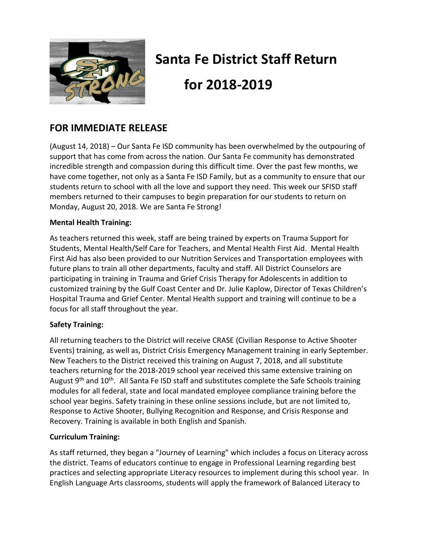

# **Santa Fe District Staff Return for 2018-2019**

# **FOR IMMEDIATE RELEASE**

(August 14, 2018) – Our Santa Fe ISD community has been overwhelmed by the outpouring of support that has come from across the nation. Our Santa Fe community has demonstrated incredible strength and compassion during this difficult time. Over the past few months, we have come together, not only as a Santa Fe ISD Family, but as a community to ensure that our students return to school with all the love and support they need. This week our SFISD staff members returned to their campuses to begin preparation for our students to return on Monday, August 20, 2018. We are Santa Fe Strong!

## **Mental Health Training:**

As teachers returned this week, staff are being trained by experts on Trauma Support for Students, Mental Health/Self Care for Teachers, and Mental Health First Aid. Mental Health First Aid has also been provided to our Nutrition Services and Transportation employees with future plans to train all other departments, faculty and staff. All District Counselors are participating in training in Trauma and Grief Crisis Therapy for Adolescents in addition to customized training by the Gulf Coast Center and Dr. Julie Kaplow, Director of Texas Children's Hospital Trauma and Grief Center. Mental Health support and training will continue to be a focus for all staff throughout the year.

## **Safety Training:**

All returning teachers to the District will receive CRASE (Civilian Response to Active Shooter Events) training, as well as, District Crisis Emergency Management training in early September. New Teachers to the District received this training on August 7, 2018, and all substitute teachers returning for the 2018-2019 school year received this same extensive training on August 9<sup>th</sup> and 10<sup>th</sup>. All Santa Fe ISD staff and substitutes complete the Safe Schools training modules for all federal, state and local mandated employee compliance training before the school year begins. Safety training in these online sessions include, but are not limited to, Response to Active Shooter, Bullying Recognition and Response, and Crisis Response and Recovery. Training is available in both English and Spanish.

## **Curriculum Training:**

As staff returned, they began a "Journey of Learning" which includes a focus on Literacy across the district. Teams of educators continue to engage in Professional Learning regarding best practices and selecting appropriate Literacy resources to implement during this school year. In English Language Arts classrooms, students will apply the framework of Balanced Literacy to